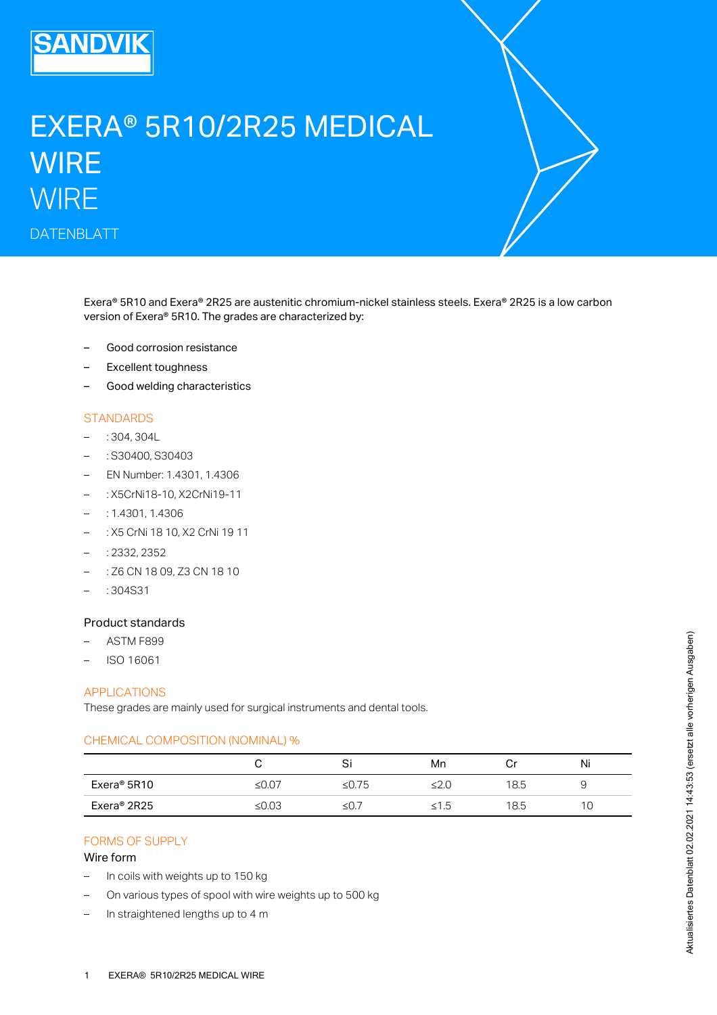

# EXERA® 5R10/2R25 MEDICAL **WIRE WIRE** DATENBLATT

Exera® 5R10 and Exera® 2R25 are austenitic chromium-nickel stainless steels. Exera® 2R25 is a low carbon version of Exera® 5R10. The grades are characterized by:

- Good corrosion resistance
- Excellent toughness
- Good welding characteristics

# **STANDARDS**

- : 304, 304L
- : S30400, S30403
- EN Number: 1.4301, 1.4306
- : X5CrNi18-10, X2CrNi19-11
- : 1.4301, 1.4306
- : X5 CrNi 18 10, X2 CrNi 19 11
- : 2332, 2352
- : Z6 CN 18 09, Z3 CN 18 10
- $-$ : 304S31

#### Product standards

- ASTM F899
- ISO 16061

### APPLICATIONS

These grades are mainly used for surgical instruments and dental tools.

#### CHEMICAL COMPOSITION (NOMINAL) %

|             |          | Si    | Mn   | U    | Ni |
|-------------|----------|-------|------|------|----|
| Exera® 5R10 | ≤ $0.07$ | ≤0.75 |      | 18.5 |    |
| Exera® 2R25 | ≤0.03    | ≤U.   | ל. ו | 18.5 | 1C |

# FORMS OF SUPPLY

#### Wire form

- In coils with weights up to 150 kg
- On various types of spool with wire weights up to 500 kg
- In straightened lengths up to 4 m